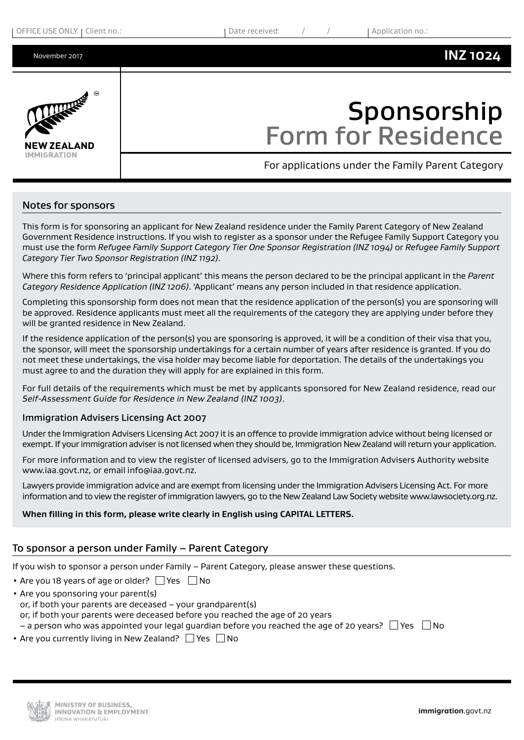November 2017

# **INZ 1024**



# Sponsorship Form for Residence

For applications under the Family Parent Category

#### Notes for sponsors

This form is for sponsoring an applicant for New Zealand residence under the Family Parent Category of New Zealand Government Residence instructions. If you wish to register as a sponsor under the Refugee Family Support Category you must use the form *[Refugee Family Support Category Tier One Sponsor Registration \(INZ 1094\)](http://www.immigration.govt.nz/NR/rdonlyres/C5BC32F4-2DDB-4412-9DD1-F66A592FB147/0/INZ1094.pdf)* or *[Refugee Family Support](http://www.immigration.govt.nz/NR/rdonlyres/C3A4098B-C610-45A0-BA9C-C28D96A3FE3E/0/INZ1192.pdf)  [Category Tier Two Sponsor Registration \(](http://www.immigration.govt.nz/NR/rdonlyres/C3A4098B-C610-45A0-BA9C-C28D96A3FE3E/0/INZ1192.pdf)INZ 1192)*.

Where this form refers to 'principal applicant' this means the person declared to be the principal applicant in the *Parent Category Residence Application (INZ 1206)*. 'Applicant' means any person included in that residence application.

Completing this sponsorship form does not mean that the residence application of the person(s) you are sponsoring will be approved. Residence applicants must meet all the requirements of the category they are applying under before they will be granted residence in New Zealand.

If the residence application of the person(s) you are sponsoring is approved, it will be a condition of their visa that you, the sponsor, will meet the sponsorship undertakings for a certain number of years after residence is granted. If you do not meet these undertakings, the visa holder may become liable for deportation. The details of the undertakings you must agree to and the duration they will apply for are explained in this form.

For full details of the requirements which must be met by applicants sponsored for New Zealand residence, read our *Self-Assessment Guide for Residence in New Zealand (INZ 1003)*.

#### Immigration Advisers Licensing Act 2007

Under the Immigration Advisers Licensing Act 2007 it is an offence to provide immigration advice without being licensed or exempt. If your immigration adviser is not licensed when they should be, Immigration New Zealand will return your application.

For more information and to view the register of licensed advisers, go to the Immigration Advisers Authority website www.iaa.govt.nz, or email info@iaa.govt.nz.

Lawyers provide immigration advice and are exempt from licensing under the Immigration Advisers Licensing Act. For more information and to view the register of immigration lawyers, go to the New Zealand Law Society website www.lawsociety.org.nz.

#### **When filling in this form, please write clearly in English using CAPITAL LETTERS.**

#### To sponsor a person under Family – Parent Category

If you wish to sponsor a person under Family – Parent Category, please answer these questions.

- Are you 18 years of age or older?  $\Box$  Yes  $\Box$  No
- Are you sponsoring your parent(s) or, if both your parents are deceased – your grandparent(s) or, if both your parents were deceased before you reached the age of 20 years – a person who was appointed your legal guardian before you reached the age of 20 years?  $\Box$  Yes  $\Box$  No
- Are you currently living in New Zealand?  $\Box$  Yes  $\Box$  No

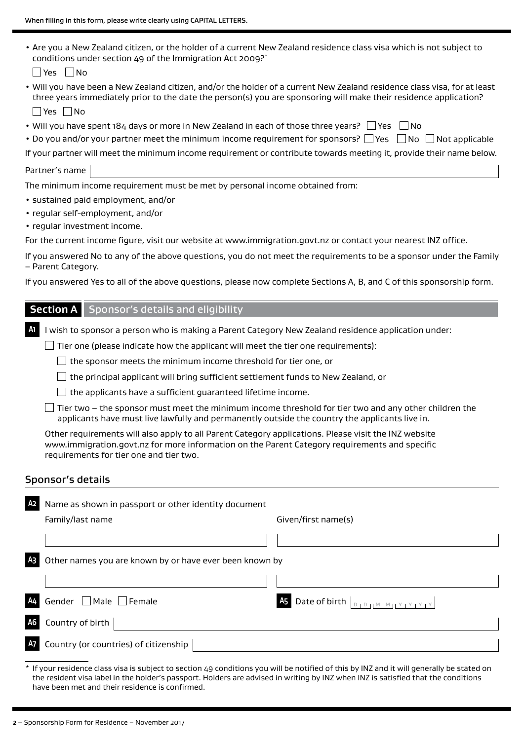| • Are you a New Zealand citizen, or the holder of a current New Zealand residence class visa which is not subject to<br>conditions under section 49 of the Immigration Act 2009? <sup>*</sup>                                                                                          |                                                                                                       |
|----------------------------------------------------------------------------------------------------------------------------------------------------------------------------------------------------------------------------------------------------------------------------------------|-------------------------------------------------------------------------------------------------------|
| Yes No                                                                                                                                                                                                                                                                                 |                                                                                                       |
| . Will you have been a New Zealand citizen, and/or the holder of a current New Zealand residence class visa, for at least<br>three years immediately prior to the date the person(s) you are sponsoring will make their residence application?<br>$\blacksquare$ Yes $\blacksquare$ No |                                                                                                       |
| • Will you have spent 184 days or more in New Zealand in each of those three years? $\Box$ Yes $\Box$ No                                                                                                                                                                               |                                                                                                       |
| • Do you and/or your partner meet the minimum income requirement for sponsors? $\Box$ Yes $\Box$ No $\Box$ Not applicable                                                                                                                                                              |                                                                                                       |
| If your partner will meet the minimum income requirement or contribute towards meeting it, provide their name below.                                                                                                                                                                   |                                                                                                       |
|                                                                                                                                                                                                                                                                                        |                                                                                                       |
| Partner's name                                                                                                                                                                                                                                                                         |                                                                                                       |
| The minimum income requirement must be met by personal income obtained from:                                                                                                                                                                                                           |                                                                                                       |
| • sustained paid employment, and/or                                                                                                                                                                                                                                                    |                                                                                                       |
| • regular self-employment, and/or<br>• regular investment income.                                                                                                                                                                                                                      |                                                                                                       |
|                                                                                                                                                                                                                                                                                        |                                                                                                       |
| For the current income figure, visit our website at www.immigration.govt.nz or contact your nearest INZ office.                                                                                                                                                                        |                                                                                                       |
| If you answered No to any of the above questions, you do not meet the requirements to be a sponsor under the Family<br>- Parent Category.                                                                                                                                              |                                                                                                       |
| If you answered Yes to all of the above questions, please now complete Sections A, B, and C of this sponsorship form.                                                                                                                                                                  |                                                                                                       |
| <b>Section A</b> Sponsor's details and eligibility                                                                                                                                                                                                                                     |                                                                                                       |
| I wish to sponsor a person who is making a Parent Category New Zealand residence application under:<br>A1                                                                                                                                                                              |                                                                                                       |
| Tier one (please indicate how the applicant will meet the tier one requirements):                                                                                                                                                                                                      |                                                                                                       |
| the sponsor meets the minimum income threshold for tier one, or                                                                                                                                                                                                                        |                                                                                                       |
| the principal applicant will bring sufficient settlement funds to New Zealand, or                                                                                                                                                                                                      |                                                                                                       |
| the applicants have a sufficient guaranteed lifetime income.                                                                                                                                                                                                                           |                                                                                                       |
| applicants have must live lawfully and permanently outside the country the applicants live in.                                                                                                                                                                                         | Tier two – the sponsor must meet the minimum income threshold for tier two and any other children the |
| Other requirements will also apply to all Parent Category applications. Please visit the INZ website<br>www.immigration.govt.nz for more information on the Parent Category requirements and specific<br>requirements for tier one and tier two.                                       |                                                                                                       |
| Sponsor's details                                                                                                                                                                                                                                                                      |                                                                                                       |
|                                                                                                                                                                                                                                                                                        |                                                                                                       |
| Name as shown in passport or other identity document<br>A2                                                                                                                                                                                                                             |                                                                                                       |
| Family/last name                                                                                                                                                                                                                                                                       | Given/first name(s)                                                                                   |
|                                                                                                                                                                                                                                                                                        |                                                                                                       |
| Other names you are known by or have ever been known by                                                                                                                                                                                                                                |                                                                                                       |
|                                                                                                                                                                                                                                                                                        |                                                                                                       |
|                                                                                                                                                                                                                                                                                        |                                                                                                       |

| $\overline{N}$ Country (or countries) of citizenship |                                                                                                                                                                                                                                                                                |
|------------------------------------------------------|--------------------------------------------------------------------------------------------------------------------------------------------------------------------------------------------------------------------------------------------------------------------------------|
|                                                      | * If your residence class visa is subject to section 49 conditions you will be notified of this by INZ and it will generally be stated on<br>the resident visa label in the holder's passport. Holders are advised in writing by INZ when INZ is satisfied that the conditions |

**A4** Gender  $\Box$  Male  $\Box$  Female **A5** Date of birth  $\Box$ 

**2** – Sponsorship Form for Residence – November 2017

have been met and their residence is confirmed.

**A6** Country of birth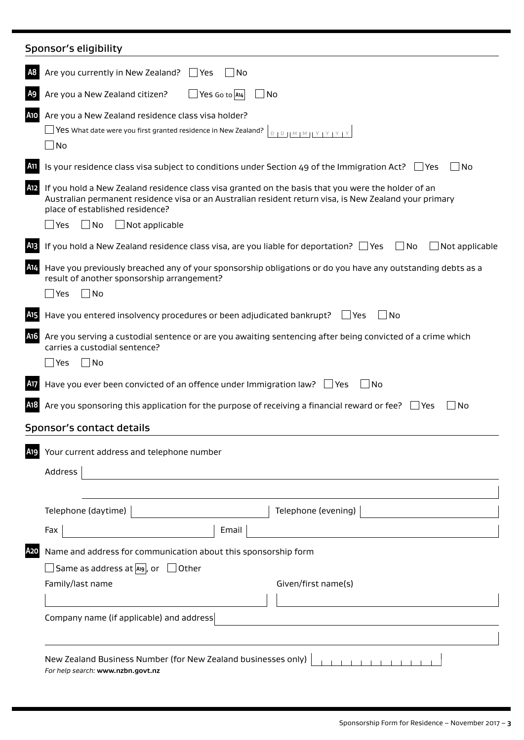| Are you currently in New Zealand?<br>A8<br>$\Box$ Yes<br>l No<br>Are you a New Zealand citizen?<br>Yes Go to A14<br>∐No<br>Are you a New Zealand residence class visa holder?<br>A10<br>$\Box$ Yes What date were you first granted residence in New Zealand?<br>$D + D + M + M + Y + Y + Y + Y$<br>$\Box$ No<br>Is your residence class visa subject to conditions under Section 49 of the Immigration Act? $\Box$ Yes<br>A11<br>If you hold a New Zealand residence class visa granted on the basis that you were the holder of an<br>A12<br>Australian permanent residence visa or an Australian resident return visa, is New Zealand your primary<br>place of established residence?<br>$\Box$ No<br>$\Box$ Not applicable<br>$\sqcup$ Yes<br>If you hold a New Zealand residence class visa, are you liable for deportation? Ves<br>$\Box$ No<br>A <sub>13</sub><br>A14<br>Have you previously breached any of your sponsorship obligations or do you have any outstanding debts as a<br>result of another sponsorship arrangement?<br>∏No<br>$\sqcup$ Yes<br>Have you entered insolvency procedures or been adjudicated bankrupt?<br>l No<br>A15<br>l lYes<br>Are you serving a custodial sentence or are you awaiting sentencing after being convicted of a crime which<br>A16<br>carries a custodial sentence?<br>$\blacksquare$ No<br>$\Box$ Yes<br>Have you ever been convicted of an offence under Immigration law? $\Box$ Yes<br>  No<br>A17<br>Are you sponsoring this application for the purpose of receiving a financial reward or fee? $\Box$ Yes<br>A18<br>Sponsor's contact details<br>Your current address and telephone number<br>Address<br>Telephone (daytime)<br>Telephone (evening)<br>Fax<br>Email<br>A <sub>20</sub><br>Name and address for communication about this sponsorship form |                       |
|-------------------------------------------------------------------------------------------------------------------------------------------------------------------------------------------------------------------------------------------------------------------------------------------------------------------------------------------------------------------------------------------------------------------------------------------------------------------------------------------------------------------------------------------------------------------------------------------------------------------------------------------------------------------------------------------------------------------------------------------------------------------------------------------------------------------------------------------------------------------------------------------------------------------------------------------------------------------------------------------------------------------------------------------------------------------------------------------------------------------------------------------------------------------------------------------------------------------------------------------------------------------------------------------------------------------------------------------------------------------------------------------------------------------------------------------------------------------------------------------------------------------------------------------------------------------------------------------------------------------------------------------------------------------------------------------------------------------------------------------------------------------------------------------------------------------|-----------------------|
|                                                                                                                                                                                                                                                                                                                                                                                                                                                                                                                                                                                                                                                                                                                                                                                                                                                                                                                                                                                                                                                                                                                                                                                                                                                                                                                                                                                                                                                                                                                                                                                                                                                                                                                                                                                                                   |                       |
|                                                                                                                                                                                                                                                                                                                                                                                                                                                                                                                                                                                                                                                                                                                                                                                                                                                                                                                                                                                                                                                                                                                                                                                                                                                                                                                                                                                                                                                                                                                                                                                                                                                                                                                                                                                                                   |                       |
|                                                                                                                                                                                                                                                                                                                                                                                                                                                                                                                                                                                                                                                                                                                                                                                                                                                                                                                                                                                                                                                                                                                                                                                                                                                                                                                                                                                                                                                                                                                                                                                                                                                                                                                                                                                                                   |                       |
|                                                                                                                                                                                                                                                                                                                                                                                                                                                                                                                                                                                                                                                                                                                                                                                                                                                                                                                                                                                                                                                                                                                                                                                                                                                                                                                                                                                                                                                                                                                                                                                                                                                                                                                                                                                                                   | l No                  |
|                                                                                                                                                                                                                                                                                                                                                                                                                                                                                                                                                                                                                                                                                                                                                                                                                                                                                                                                                                                                                                                                                                                                                                                                                                                                                                                                                                                                                                                                                                                                                                                                                                                                                                                                                                                                                   |                       |
|                                                                                                                                                                                                                                                                                                                                                                                                                                                                                                                                                                                                                                                                                                                                                                                                                                                                                                                                                                                                                                                                                                                                                                                                                                                                                                                                                                                                                                                                                                                                                                                                                                                                                                                                                                                                                   |                       |
|                                                                                                                                                                                                                                                                                                                                                                                                                                                                                                                                                                                                                                                                                                                                                                                                                                                                                                                                                                                                                                                                                                                                                                                                                                                                                                                                                                                                                                                                                                                                                                                                                                                                                                                                                                                                                   | $\Box$ Not applicable |
|                                                                                                                                                                                                                                                                                                                                                                                                                                                                                                                                                                                                                                                                                                                                                                                                                                                                                                                                                                                                                                                                                                                                                                                                                                                                                                                                                                                                                                                                                                                                                                                                                                                                                                                                                                                                                   |                       |
|                                                                                                                                                                                                                                                                                                                                                                                                                                                                                                                                                                                                                                                                                                                                                                                                                                                                                                                                                                                                                                                                                                                                                                                                                                                                                                                                                                                                                                                                                                                                                                                                                                                                                                                                                                                                                   |                       |
|                                                                                                                                                                                                                                                                                                                                                                                                                                                                                                                                                                                                                                                                                                                                                                                                                                                                                                                                                                                                                                                                                                                                                                                                                                                                                                                                                                                                                                                                                                                                                                                                                                                                                                                                                                                                                   |                       |
|                                                                                                                                                                                                                                                                                                                                                                                                                                                                                                                                                                                                                                                                                                                                                                                                                                                                                                                                                                                                                                                                                                                                                                                                                                                                                                                                                                                                                                                                                                                                                                                                                                                                                                                                                                                                                   |                       |
|                                                                                                                                                                                                                                                                                                                                                                                                                                                                                                                                                                                                                                                                                                                                                                                                                                                                                                                                                                                                                                                                                                                                                                                                                                                                                                                                                                                                                                                                                                                                                                                                                                                                                                                                                                                                                   |                       |
|                                                                                                                                                                                                                                                                                                                                                                                                                                                                                                                                                                                                                                                                                                                                                                                                                                                                                                                                                                                                                                                                                                                                                                                                                                                                                                                                                                                                                                                                                                                                                                                                                                                                                                                                                                                                                   |                       |
|                                                                                                                                                                                                                                                                                                                                                                                                                                                                                                                                                                                                                                                                                                                                                                                                                                                                                                                                                                                                                                                                                                                                                                                                                                                                                                                                                                                                                                                                                                                                                                                                                                                                                                                                                                                                                   | $\bigsqcup$ No        |
|                                                                                                                                                                                                                                                                                                                                                                                                                                                                                                                                                                                                                                                                                                                                                                                                                                                                                                                                                                                                                                                                                                                                                                                                                                                                                                                                                                                                                                                                                                                                                                                                                                                                                                                                                                                                                   |                       |
|                                                                                                                                                                                                                                                                                                                                                                                                                                                                                                                                                                                                                                                                                                                                                                                                                                                                                                                                                                                                                                                                                                                                                                                                                                                                                                                                                                                                                                                                                                                                                                                                                                                                                                                                                                                                                   |                       |
|                                                                                                                                                                                                                                                                                                                                                                                                                                                                                                                                                                                                                                                                                                                                                                                                                                                                                                                                                                                                                                                                                                                                                                                                                                                                                                                                                                                                                                                                                                                                                                                                                                                                                                                                                                                                                   |                       |
|                                                                                                                                                                                                                                                                                                                                                                                                                                                                                                                                                                                                                                                                                                                                                                                                                                                                                                                                                                                                                                                                                                                                                                                                                                                                                                                                                                                                                                                                                                                                                                                                                                                                                                                                                                                                                   |                       |
|                                                                                                                                                                                                                                                                                                                                                                                                                                                                                                                                                                                                                                                                                                                                                                                                                                                                                                                                                                                                                                                                                                                                                                                                                                                                                                                                                                                                                                                                                                                                                                                                                                                                                                                                                                                                                   |                       |
|                                                                                                                                                                                                                                                                                                                                                                                                                                                                                                                                                                                                                                                                                                                                                                                                                                                                                                                                                                                                                                                                                                                                                                                                                                                                                                                                                                                                                                                                                                                                                                                                                                                                                                                                                                                                                   |                       |
|                                                                                                                                                                                                                                                                                                                                                                                                                                                                                                                                                                                                                                                                                                                                                                                                                                                                                                                                                                                                                                                                                                                                                                                                                                                                                                                                                                                                                                                                                                                                                                                                                                                                                                                                                                                                                   |                       |
|                                                                                                                                                                                                                                                                                                                                                                                                                                                                                                                                                                                                                                                                                                                                                                                                                                                                                                                                                                                                                                                                                                                                                                                                                                                                                                                                                                                                                                                                                                                                                                                                                                                                                                                                                                                                                   |                       |
| Same as address at $\vert$ Aig, or $\Box$ Other                                                                                                                                                                                                                                                                                                                                                                                                                                                                                                                                                                                                                                                                                                                                                                                                                                                                                                                                                                                                                                                                                                                                                                                                                                                                                                                                                                                                                                                                                                                                                                                                                                                                                                                                                                   |                       |
| Family/last name<br>Given/first name(s)                                                                                                                                                                                                                                                                                                                                                                                                                                                                                                                                                                                                                                                                                                                                                                                                                                                                                                                                                                                                                                                                                                                                                                                                                                                                                                                                                                                                                                                                                                                                                                                                                                                                                                                                                                           |                       |
|                                                                                                                                                                                                                                                                                                                                                                                                                                                                                                                                                                                                                                                                                                                                                                                                                                                                                                                                                                                                                                                                                                                                                                                                                                                                                                                                                                                                                                                                                                                                                                                                                                                                                                                                                                                                                   |                       |
| Company name (if applicable) and address                                                                                                                                                                                                                                                                                                                                                                                                                                                                                                                                                                                                                                                                                                                                                                                                                                                                                                                                                                                                                                                                                                                                                                                                                                                                                                                                                                                                                                                                                                                                                                                                                                                                                                                                                                          |                       |
|                                                                                                                                                                                                                                                                                                                                                                                                                                                                                                                                                                                                                                                                                                                                                                                                                                                                                                                                                                                                                                                                                                                                                                                                                                                                                                                                                                                                                                                                                                                                                                                                                                                                                                                                                                                                                   |                       |
|                                                                                                                                                                                                                                                                                                                                                                                                                                                                                                                                                                                                                                                                                                                                                                                                                                                                                                                                                                                                                                                                                                                                                                                                                                                                                                                                                                                                                                                                                                                                                                                                                                                                                                                                                                                                                   |                       |
| New Zealand Business Number (for New Zealand businesses only)<br>For help search: www.nzbn.govt.nz                                                                                                                                                                                                                                                                                                                                                                                                                                                                                                                                                                                                                                                                                                                                                                                                                                                                                                                                                                                                                                                                                                                                                                                                                                                                                                                                                                                                                                                                                                                                                                                                                                                                                                                |                       |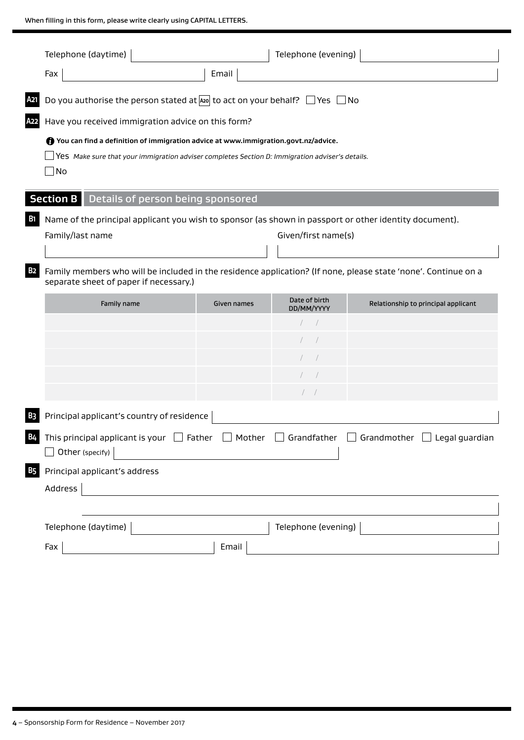When filling in this form, please write clearly using CAPITAL LETTERS.

|            | Telephone (daytime)                                                                                                                                      |             | Telephone (evening)         |                                     |
|------------|----------------------------------------------------------------------------------------------------------------------------------------------------------|-------------|-----------------------------|-------------------------------------|
|            | Fax                                                                                                                                                      | Email       |                             |                                     |
| A21        | Do you authorise the person stated at $ A20 $ to act on your behalf? $\Box$ Yes $\Box$ No                                                                |             |                             |                                     |
| A22        | Have you received immigration advice on this form?                                                                                                       |             |                             |                                     |
|            | $\bullet$ You can find a definition of immigration advice at www.immigration.govt.nz/advice.                                                             |             |                             |                                     |
|            | Yes Make sure that your immigration adviser completes Section D: Immigration adviser's details.                                                          |             |                             |                                     |
|            | No                                                                                                                                                       |             |                             |                                     |
|            | Section B<br>Details of person being sponsored                                                                                                           |             |                             |                                     |
| <b>B</b> 1 | Name of the principal applicant you wish to sponsor (as shown in passport or other identity document).                                                   |             |                             |                                     |
|            | Family/last name                                                                                                                                         |             | Given/first name(s)         |                                     |
|            |                                                                                                                                                          |             |                             |                                     |
| <b>B2</b>  | Family members who will be included in the residence application? (If none, please state 'none'. Continue on a<br>separate sheet of paper if necessary.) |             |                             |                                     |
|            | Family name                                                                                                                                              | Given names | Date of birth<br>DD/MM/YYYY | Relationship to principal applicant |
|            |                                                                                                                                                          |             |                             |                                     |
|            |                                                                                                                                                          |             |                             |                                     |
|            |                                                                                                                                                          |             |                             |                                     |
|            |                                                                                                                                                          |             |                             |                                     |
|            |                                                                                                                                                          |             | $\left  \quad \right $      |                                     |
| B3         | Principal applicant's country of residence                                                                                                               |             |                             |                                     |
| <b>B4</b>  | This principal applicant is your $\Box$ Father $\Box$ Mother $\Box$ Grandfather $\Box$ Grandmother $\Box$ Legal guardian<br>Other (specify)              |             |                             |                                     |
| <b>B5</b>  | Principal applicant's address                                                                                                                            |             |                             |                                     |
|            | Address                                                                                                                                                  |             |                             |                                     |
|            |                                                                                                                                                          |             |                             |                                     |
|            | Telephone (daytime)                                                                                                                                      |             | Telephone (evening)         |                                     |
|            | Fax                                                                                                                                                      | Email       |                             |                                     |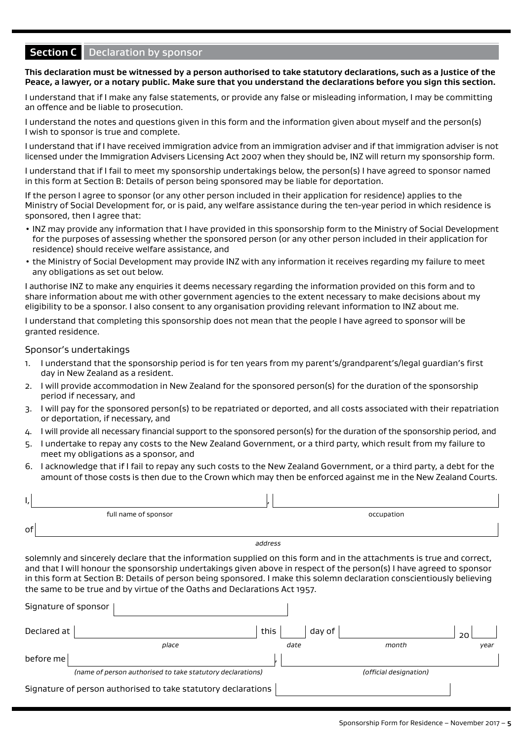# **Section C** Declaration by sponsor

**This declaration must be witnessed by a person authorised to take statutory declarations, such as a Justice of the Peace, a lawyer, or a notary public. Make sure that you understand the declarations before you sign this section.**

I understand that if I make any false statements, or provide any false or misleading information, I may be committing an offence and be liable to prosecution.

I understand the notes and questions given in this form and the information given about myself and the person(s) I wish to sponsor is true and complete.

I understand that if I have received immigration advice from an immigration adviser and if that immigration adviser is not licensed under the Immigration Advisers Licensing Act 2007 when they should be, INZ will return my sponsorship form.

I understand that if I fail to meet my sponsorship undertakings below, the person(s) I have agreed to sponsor named in this form at Section B: Details of person being sponsored may be liable for deportation.

If the person I agree to sponsor (or any other person included in their application for residence) applies to the Ministry of Social Development for, or is paid, any welfare assistance during the ten-year period in which residence is sponsored, then I agree that:

- INZ may provide any information that I have provided in this sponsorship form to the Ministry of Social Development for the purposes of assessing whether the sponsored person (or any other person included in their application for residence) should receive welfare assistance, and
- the Ministry of Social Development may provide INZ with any information it receives regarding my failure to meet any obligations as set out below.

I authorise INZ to make any enquiries it deems necessary regarding the information provided on this form and to share information about me with other government agencies to the extent necessary to make decisions about my eligibility to be a sponsor. I also consent to any organisation providing relevant information to INZ about me.

I understand that completing this sponsorship does not mean that the people I have agreed to sponsor will be granted residence.

#### Sponsor's undertakings

- 1. I understand that the sponsorship period is for ten years from my parent's/grandparent's/legal guardian's first day in New Zealand as a resident.
- 2. I will provide accommodation in New Zealand for the sponsored person(s) for the duration of the sponsorship period if necessary, and
- 3. I will pay for the sponsored person(s) to be repatriated or deported, and all costs associated with their repatriation or deportation, if necessary, and
- 4. I will provide all necessary financial support to the sponsored person(s) for the duration of the sponsorship period, and
- 5. I undertake to repay any costs to the New Zealand Government, or a third party, which result from my failure to meet my obligations as a sponsor, and
- 6. I acknowledge that if I fail to repay any such costs to the New Zealand Government, or a third party, a debt for the amount of those costs is then due to the Crown which may then be enforced against me in the New Zealand Courts.

| ı,                   |  |            |  |  |  |
|----------------------|--|------------|--|--|--|
| full name of sponsor |  | occupation |  |  |  |
| of                   |  |            |  |  |  |
| address              |  |            |  |  |  |

solemnly and sincerely declare that the information supplied on this form and in the attachments is true and correct, and that I will honour the sponsorship undertakings given above in respect of the person(s) I have agreed to sponsor in this form at Section B: Details of person being sponsored. I make this solemn declaration conscientiously believing the same to be true and by virtue of the Oaths and Declarations Act 1957.

| Signature of sponsor |                                                               |      |        |                        |                |      |
|----------------------|---------------------------------------------------------------|------|--------|------------------------|----------------|------|
| Declared at          |                                                               | this | day of |                        | $\overline{2}$ |      |
|                      | place                                                         | date |        | month                  |                | year |
| before me            |                                                               |      |        |                        |                |      |
|                      | (name of person authorised to take statutory declarations)    |      |        | (official designation) |                |      |
|                      | Signature of person authorised to take statutory declarations |      |        |                        |                |      |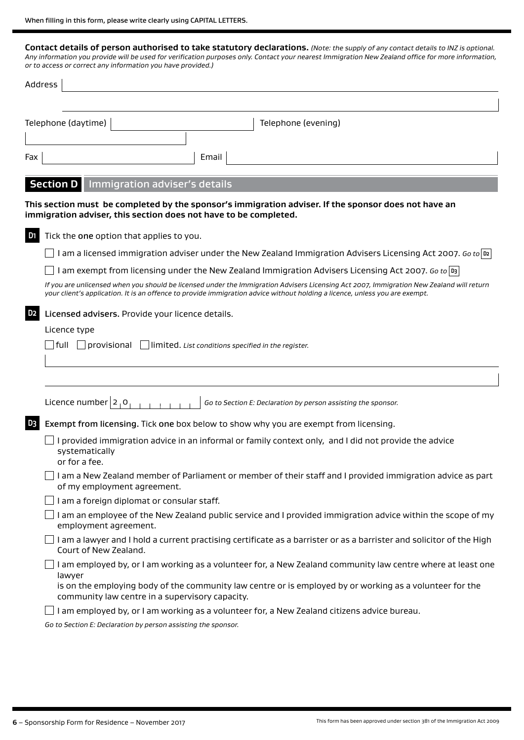**Contact details of person authorised to take statutory declarations.** *(Note: the supply of any contact details to INZ is optional. Any information you provide will be used for verification purposes only. Contact your nearest Immigration New Zealand office for more information, or to access or correct any information you have provided.)*

|                | Address                                                                                                                                                                                                                                                                                                                                                                            |
|----------------|------------------------------------------------------------------------------------------------------------------------------------------------------------------------------------------------------------------------------------------------------------------------------------------------------------------------------------------------------------------------------------|
|                |                                                                                                                                                                                                                                                                                                                                                                                    |
|                | Telephone (daytime)<br>Telephone (evening)                                                                                                                                                                                                                                                                                                                                         |
|                |                                                                                                                                                                                                                                                                                                                                                                                    |
| Fax            | Email                                                                                                                                                                                                                                                                                                                                                                              |
|                | <b>Section D</b><br>Immigration adviser's details                                                                                                                                                                                                                                                                                                                                  |
|                | This section must be completed by the sponsor's immigration adviser. If the sponsor does not have an<br>immigration adviser, this section does not have to be completed.                                                                                                                                                                                                           |
| D <sub>1</sub> | Tick the one option that applies to you.                                                                                                                                                                                                                                                                                                                                           |
|                | I am a licensed immigration adviser under the New Zealand Immigration Advisers Licensing Act 2007. Go to $\omega$                                                                                                                                                                                                                                                                  |
|                | I am exempt from licensing under the New Zealand Immigration Advisers Licensing Act 2007. Go to $ v_3 $<br>If you are unlicensed when you should be licensed under the Immigration Advisers Licensing Act 2007, Immigration New Zealand will return<br>your client's application. It is an offence to provide immigration advice without holding a licence, unless you are exempt. |
| D <sub>2</sub> | Licensed advisers. Provide your licence details.                                                                                                                                                                                                                                                                                                                                   |
|                | Licence type                                                                                                                                                                                                                                                                                                                                                                       |
|                | $\vert$ full $\vert$ provisional<br>$\Box$ limited. List conditions specified in the register.                                                                                                                                                                                                                                                                                     |
|                |                                                                                                                                                                                                                                                                                                                                                                                    |
|                |                                                                                                                                                                                                                                                                                                                                                                                    |
|                | Licence number $2, 0,$<br>Go to Section E: Declaration by person assisting the sponsor.                                                                                                                                                                                                                                                                                            |
| D3             | Exempt from licensing. Tick one box below to show why you are exempt from licensing.                                                                                                                                                                                                                                                                                               |
|                | I provided immigration advice in an informal or family context only, and I did not provide the advice<br>systematically<br>or for a fee.                                                                                                                                                                                                                                           |
|                | $\Box$ I am a New Zealand member of Parliament or member of their staff and I provided immigration advice as part<br>of my employment agreement.                                                                                                                                                                                                                                   |
|                | I am a foreign diplomat or consular staff.                                                                                                                                                                                                                                                                                                                                         |
|                | I am an employee of the New Zealand public service and I provided immigration advice within the scope of my<br>employment agreement.                                                                                                                                                                                                                                               |
|                | I am a lawyer and I hold a current practising certificate as a barrister or as a barrister and solicitor of the High<br>Court of New Zealand.                                                                                                                                                                                                                                      |
|                | I am employed by, or I am working as a volunteer for, a New Zealand community law centre where at least one<br>lawyer<br>is on the employing body of the community law centre or is employed by or working as a volunteer for the                                                                                                                                                  |
|                | community law centre in a supervisory capacity.                                                                                                                                                                                                                                                                                                                                    |
|                | I am employed by, or I am working as a volunteer for, a New Zealand citizens advice bureau.<br>Go to Section E: Declaration by person assisting the sponsor.                                                                                                                                                                                                                       |
|                |                                                                                                                                                                                                                                                                                                                                                                                    |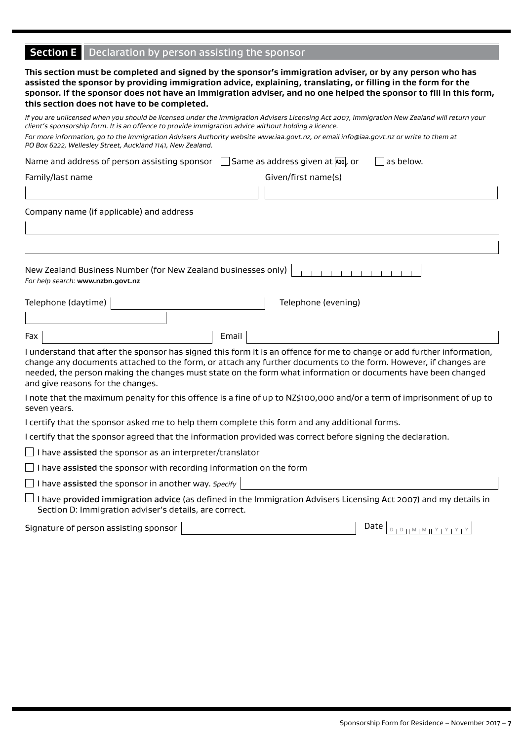# **Section E** Declaration by person assisting the sponsor

| This section must be completed and signed by the sponsor's immigration adviser, or by any person who has          |
|-------------------------------------------------------------------------------------------------------------------|
| assisted the sponsor by providing immigration advice, explaining, translating, or filling in the form for the     |
| sponsor. If the sponsor does not have an immigration adviser, and no one helped the sponsor to fill in this form, |
| this section does not have to be completed.                                                                       |
|                                                                                                                   |

| client's sponsorship form. It is an offence to provide immigration advice without holding a licence.                                                                                                | If you are unlicensed when you should be licensed under the Immigration Advisers Licensing Act 2007, Immigration New Zealand will return your                                                                                                                                                                                                             |  |
|-----------------------------------------------------------------------------------------------------------------------------------------------------------------------------------------------------|-----------------------------------------------------------------------------------------------------------------------------------------------------------------------------------------------------------------------------------------------------------------------------------------------------------------------------------------------------------|--|
| For more information, go to the Immigration Advisers Authority website www.iaa.govt.nz, or email info@iaa.govt.nz or write to them at<br>PO Box 6222, Wellesley Street, Auckland 1141, New Zealand. |                                                                                                                                                                                                                                                                                                                                                           |  |
| Name and address of person assisting sponsor $\Box$ Same as address given at $\Box$ and                                                                                                             | as below.                                                                                                                                                                                                                                                                                                                                                 |  |
| Family/last name                                                                                                                                                                                    | Given/first name(s)                                                                                                                                                                                                                                                                                                                                       |  |
|                                                                                                                                                                                                     |                                                                                                                                                                                                                                                                                                                                                           |  |
| Company name (if applicable) and address                                                                                                                                                            |                                                                                                                                                                                                                                                                                                                                                           |  |
|                                                                                                                                                                                                     |                                                                                                                                                                                                                                                                                                                                                           |  |
| New Zealand Business Number (for New Zealand businesses only)<br>For help search: www.nzbn.govt.nz                                                                                                  |                                                                                                                                                                                                                                                                                                                                                           |  |
| Telephone (daytime)                                                                                                                                                                                 | Telephone (evening)                                                                                                                                                                                                                                                                                                                                       |  |
|                                                                                                                                                                                                     |                                                                                                                                                                                                                                                                                                                                                           |  |
| Fax<br>Email                                                                                                                                                                                        |                                                                                                                                                                                                                                                                                                                                                           |  |
| and give reasons for the changes.                                                                                                                                                                   | I understand that after the sponsor has signed this form it is an offence for me to change or add further information,<br>change any documents attached to the form, or attach any further documents to the form. However, if changes are<br>needed, the person making the changes must state on the form what information or documents have been changed |  |
| seven years.                                                                                                                                                                                        | I note that the maximum penalty for this offence is a fine of up to NZ\$100,000 and/or a term of imprisonment of up to                                                                                                                                                                                                                                    |  |
| I certify that the sponsor asked me to help them complete this form and any additional forms.                                                                                                       |                                                                                                                                                                                                                                                                                                                                                           |  |
| I certify that the sponsor agreed that the information provided was correct before signing the declaration.                                                                                         |                                                                                                                                                                                                                                                                                                                                                           |  |
| I have assisted the sponsor as an interpreter/translator                                                                                                                                            |                                                                                                                                                                                                                                                                                                                                                           |  |
| I have assisted the sponsor with recording information on the form                                                                                                                                  |                                                                                                                                                                                                                                                                                                                                                           |  |
| I have assisted the sponsor in another way. Specify                                                                                                                                                 |                                                                                                                                                                                                                                                                                                                                                           |  |
| Section D: Immigration adviser's details, are correct.                                                                                                                                              | $\Box$ I have provided immigration advice (as defined in the Immigration Advisers Licensing Act 2007) and my details in                                                                                                                                                                                                                                   |  |
| Signature of person assisting sponsor                                                                                                                                                               | Date $\left[ \begin{array}{c} D & D & M & M & Y & Y & Y \\ \hline \end{array} \right]$                                                                                                                                                                                                                                                                    |  |